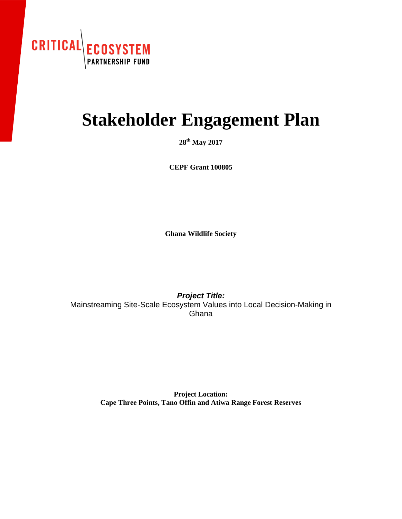

# **Stakeholder Engagement Plan**

**28th May 2017**

**CEPF Grant 100805**

**Ghana Wildlife Society**

*Project Title:* Mainstreaming Site-Scale Ecosystem Values into Local Decision-Making in **Ghana** 

> **Project Location: Cape Three Points, Tano Offin and Atiwa Range Forest Reserves**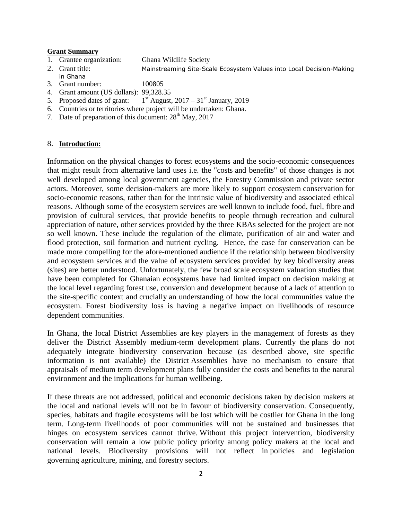#### **Grant Summary**

- 1. Grantee organization: Ghana Wildlife Society
- 2. Grant title: Mainstreaming Site-Scale Ecosystem Values into Local Decision-Making in Ghana
- 3. Grant number: 100805
- 4. Grant amount (US dollars): 99,328.35
- 5. Proposed dates of grant: 1  $1<sup>st</sup>$  August, 2017 – 31 $<sup>st</sup>$  January, 2019</sup>
- 6. Countries or territories where project will be undertaken: Ghana.
- 7. Date of preparation of this document:  $28<sup>th</sup>$  May, 2017

## 8. **Introduction:**

Information on the physical changes to forest ecosystems and the socio-economic consequences that might result from alternative land uses i.e. the "costs and benefits" of those changes is not well developed among local government agencies, the Forestry Commission and private sector actors. Moreover, some decision-makers are more likely to support ecosystem conservation for socio-economic reasons, rather than for the intrinsic value of biodiversity and associated ethical reasons. Although some of the ecosystem services are well known to include food, fuel, fibre and provision of cultural services, that provide benefits to people through recreation and cultural appreciation of nature, other services provided by the three KBAs selected for the project are not so well known. These include the regulation of the climate, purification of air and water and flood protection, soil formation and nutrient cycling. Hence, the case for conservation can be made more compelling for the afore-mentioned audience if the relationship between biodiversity and ecosystem services and the value of ecosystem services provided by key biodiversity areas (sites) are better understood. Unfortunately, the few broad scale ecosystem valuation studies that have been completed for Ghanaian ecosystems have had limited impact on decision making at the local level regarding forest use, conversion and development because of a lack of attention to the site-specific context and crucially an understanding of how the local communities value the ecosystem. Forest biodiversity loss is having a negative impact on livelihoods of resource dependent communities.

In Ghana, the local District Assemblies are key players in the management of forests as they deliver the District Assembly medium-term development plans. Currently the plans do not adequately integrate biodiversity conservation because (as described above, site specific information is not available) the District Assemblies have no mechanism to ensure that appraisals of medium term development plans fully consider the costs and benefits to the natural environment and the implications for human wellbeing.

If these threats are not addressed, political and economic decisions taken by decision makers at the local and national levels will not be in favour of biodiversity conservation. Consequently, species, habitats and fragile ecosystems will be lost which will be costlier for Ghana in the long term. Long-term livelihoods of poor communities will not be sustained and businesses that hinges on ecosystem services cannot thrive. Without this project intervention, biodiversity conservation will remain a low public policy priority among policy makers at the local and national levels. Biodiversity provisions will not reflect in policies and legislation governing agriculture, mining, and forestry sectors.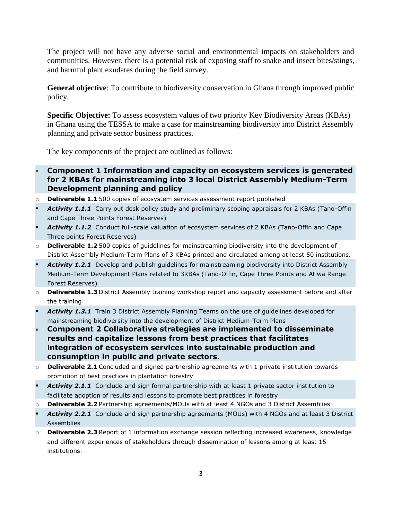The project will not have any adverse social and environmental impacts on stakeholders and communities. However, there is a potential risk of exposing staff to snake and insect bites/stings, and harmful plant exudates during the field survey.

**General objective**: To contribute to biodiversity conservation in Ghana through improved public policy.

**Specific Objective:** To assess ecosystem values of two priority Key Biodiversity Areas (KBAs) in Ghana using the TESSA to make a case for mainstreaming biodiversity into District Assembly planning and private sector business practices.

The key components of the project are outlined as follows:

- **Component 1 Information and capacity on ecosystem services is generated for 2 KBAs for mainstreaming into 3 local District Assembly Medium-Term Development planning and policy**
- o **Deliverable 1.1** 500 copies of ecosystem services assessment report published
- Activity 1.1.1 Carry out desk policy study and preliminary scoping appraisals for 2 KBAs (Tano-Offin and Cape Three Points Forest Reserves)
- Activity 1.1.2 Conduct full-scale valuation of ecosystem services of 2 KBAs (Tano-Offin and Cape Three points Forest Reserves)
- o **Deliverable 1.2** 500 copies of guidelines for mainstreaming biodiversity into the development of District Assembly Medium-Term Plans of 3 KBAs printed and circulated among at least 50 institutions.
- Activity 1.2.1 Develop and publish quidelines for mainstreaming biodiversity into District Assembly Medium-Term Development Plans related to 3KBAs (Tano-Offin, Cape Three Points and Atiwa Range Forest Reserves)
- o **Deliverable 1.3** District Assembly training workshop report and capacity assessment before and after the training
- Activity 1.3.1 Train 3 District Assembly Planning Teams on the use of guidelines developed for mainstreaming biodiversity into the development of District Medium-Term Plans
- **Component 2 Collaborative strategies are implemented to disseminate results and capitalize lessons from best practices that facilitates integration of ecosystem services into sustainable production and consumption in public and private sectors.**
- o **Deliverable 2.1** Concluded and signed partnership agreements with 1 private institution towards promotion of best practices in plantation forestry
- Activity 2.1.1 Conclude and sign formal partnership with at least 1 private sector institution to facilitate adoption of results and lessons to promote best practices in forestry
- o **Deliverable 2.2** Partnership agreements/MOUs with at least 4 NGOs and 3 District Assemblies
- **Activity 2.2.1** Conclude and sign partnership agreements (MOUs) with 4 NGOs and at least 3 District Assemblies
- o **Deliverable 2.3** Report of 1 information exchange session reflecting increased awareness, knowledge and different experiences of stakeholders through dissemination of lessons among at least 15 institutions.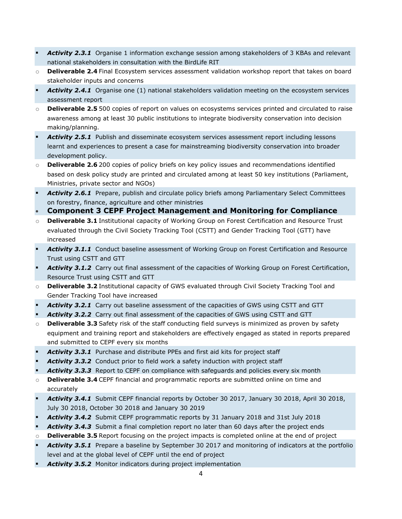- Activity 2.3.1 Organise 1 information exchange session among stakeholders of 3 KBAs and relevant national stakeholders in consultation with the BirdLife RIT
- o **Deliverable 2.4** Final Ecosystem services assessment validation workshop report that takes on board stakeholder inputs and concerns
- Activity 2.4.1 Organise one (1) national stakeholders validation meeting on the ecosystem services assessment report
- o **Deliverable 2.5** 500 copies of report on values on ecosystems services printed and circulated to raise awareness among at least 30 public institutions to integrate biodiversity conservation into decision making/planning.
- Activity 2.5.1 Publish and disseminate ecosystem services assessment report including lessons learnt and experiences to present a case for mainstreaming biodiversity conservation into broader development policy.
- o **Deliverable 2.6** 200 copies of policy briefs on key policy issues and recommendations identified based on desk policy study are printed and circulated among at least 50 key institutions (Parliament, Ministries, private sector and NGOs)
- Activity 2.6.1 Prepare, publish and circulate policy briefs among Parliamentary Select Committees on forestry, finance, agriculture and other ministries
- **Component 3 CEPF Project Management and Monitoring for Compliance**
- o **Deliverable 3.1** Institutional capacity of Working Group on Forest Certification and Resource Trust evaluated through the Civil Society Tracking Tool (CSTT) and Gender Tracking Tool (GTT) have increased
- Activity 3.1.1 Conduct baseline assessment of Working Group on Forest Certification and Resource Trust using CSTT and GTT
- *Activity 3.1.2* Carry out final assessment of the capacities of Working Group on Forest Certification, Resource Trust using CSTT and GTT
- o **Deliverable 3.2** Institutional capacity of GWS evaluated through Civil Society Tracking Tool and Gender Tracking Tool have increased
- *Activity 3.2.1* Carry out baseline assessment of the capacities of GWS using CSTT and GTT
- *Activity 3.2.2* Carry out final assessment of the capacities of GWS using CSTT and GTT
- o **Deliverable 3.3** Safety risk of the staff conducting field surveys is minimized as proven by safety equipment and training report and stakeholders are effectively engaged as stated in reports prepared and submitted to CEPF every six months
- *Activity 3.3.1* Purchase and distribute PPEs and first aid kits for project staff
- *Activity 3.3.2* Conduct prior to field work a safety induction with project staff
- Activity 3.3.3 Report to CEPF on compliance with safeguards and policies every six month
- o **Deliverable 3.4** CEPF financial and programmatic reports are submitted online on time and accurately
- *Activity 3.4.1* Submit CEPF financial reports by October 30 2017, January 30 2018, April 30 2018, July 30 2018, October 30 2018 and January 30 2019
- *Activity 3.4.2* Submit CEPF programmatic reports by 31 January 2018 and 31st July 2018
- Activity 3.4.3 Submit a final completion report no later than 60 days after the project ends
- o **Deliverable 3.5** Report focusing on the project impacts is completed online at the end of project
- *Activity 3.5.1* Prepare a baseline by September 30 2017 and monitoring of indicators at the portfolio level and at the global level of CEPF until the end of project
- *Activity 3.5.2* Monitor indicators during project implementation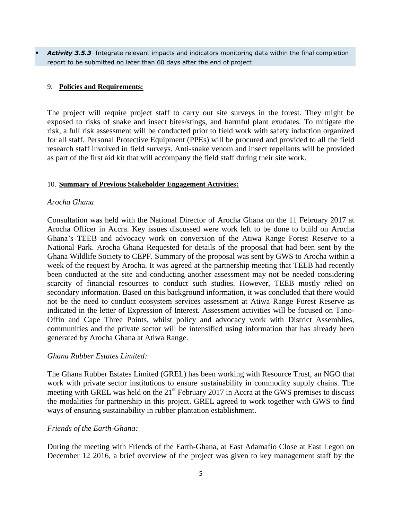Activity 3.5.3 Integrate relevant impacts and indicators monitoring data within the final completion report to be submitted no later than 60 days after the end of project

## 9. **Policies and Requirements:**

The project will require project staff to carry out site surveys in the forest. They might be exposed to risks of snake and insect bites/stings, and harmful plant exudates. To mitigate the risk, a full risk assessment will be conducted prior to field work with safety induction organized for all staff. Personal Protective Equipment (PPEs) will be procured and provided to all the field research staff involved in field surveys. Anti-snake venom and insect repellants will be provided as part of the first aid kit that will accompany the field staff during their site work.

#### 10. **Summary of Previous Stakeholder Engagement Activities:**

#### *Arocha Ghana*

Consultation was held with the National Director of Arocha Ghana on the 11 February 2017 at Arocha Officer in Accra. Key issues discussed were work left to be done to build on Arocha Ghana's TEEB and advocacy work on conversion of the Atiwa Range Forest Reserve to a National Park. Arocha Ghana Requested for details of the proposal that had been sent by the Ghana Wildlife Society to CEPF. Summary of the proposal was sent by GWS to Arocha within a week of the request by Arocha. It was agreed at the partnership meeting that TEEB had recently been conducted at the site and conducting another assessment may not be needed considering scarcity of financial resources to conduct such studies. However, TEEB mostly relied on secondary information. Based on this background information, it was concluded that there would not be the need to conduct ecosystem services assessment at Atiwa Range Forest Reserve as indicated in the letter of Expression of Interest. Assessment activities will be focused on Tano-Offin and Cape Three Points, whilst policy and advocacy work with District Assemblies, communities and the private sector will be intensified using information that has already been generated by Arocha Ghana at Atiwa Range.

#### *Ghana Rubber Estates Limited:*

The Ghana Rubber Estates Limited (GREL) has been working with Resource Trust, an NGO that work with private sector institutions to ensure sustainability in commodity supply chains. The meeting with GREL was held on the 21<sup>st</sup> February 2017 in Accra at the GWS premises to discuss the modalities for partnership in this project. GREL agreed to work together with GWS to find ways of ensuring sustainability in rubber plantation establishment.

#### *Friends of the Earth-Ghana:*

During the meeting with Friends of the Earth-Ghana, at East Adamafio Close at East Legon on December 12 2016, a brief overview of the project was given to key management staff by the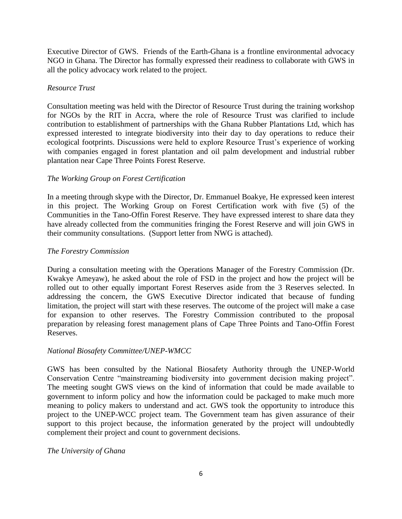Executive Director of GWS. Friends of the Earth-Ghana is a frontline environmental advocacy NGO in Ghana. The Director has formally expressed their readiness to collaborate with GWS in all the policy advocacy work related to the project.

# *Resource Trust*

Consultation meeting was held with the Director of Resource Trust during the training workshop for NGOs by the RIT in Accra, where the role of Resource Trust was clarified to include contribution to establishment of partnerships with the Ghana Rubber Plantations Ltd, which has expressed interested to integrate biodiversity into their day to day operations to reduce their ecological footprints. Discussions were held to explore Resource Trust's experience of working with companies engaged in forest plantation and oil palm development and industrial rubber plantation near Cape Three Points Forest Reserve.

# *The Working Group on Forest Certification*

In a meeting through skype with the Director, Dr. Emmanuel Boakye, He expressed keen interest in this project. The Working Group on Forest Certification work with five (5) of the Communities in the Tano-Offin Forest Reserve. They have expressed interest to share data they have already collected from the communities fringing the Forest Reserve and will join GWS in their community consultations. (Support letter from NWG is attached).

# *The Forestry Commission*

During a consultation meeting with the Operations Manager of the Forestry Commission (Dr. Kwakye Ameyaw), he asked about the role of FSD in the project and how the project will be rolled out to other equally important Forest Reserves aside from the 3 Reserves selected. In addressing the concern, the GWS Executive Director indicated that because of funding limitation, the project will start with these reserves. The outcome of the project will make a case for expansion to other reserves. The Forestry Commission contributed to the proposal preparation by releasing forest management plans of Cape Three Points and Tano-Offin Forest Reserves.

## *National Biosafety Committee/UNEP-WMCC*

GWS has been consulted by the National Biosafety Authority through the UNEP-World Conservation Centre "mainstreaming biodiversity into government decision making project". The meeting sought GWS views on the kind of information that could be made available to government to inform policy and how the information could be packaged to make much more meaning to policy makers to understand and act. GWS took the opportunity to introduce this project to the UNEP-WCC project team. The Government team has given assurance of their support to this project because, the information generated by the project will undoubtedly complement their project and count to government decisions.

## *The University of Ghana*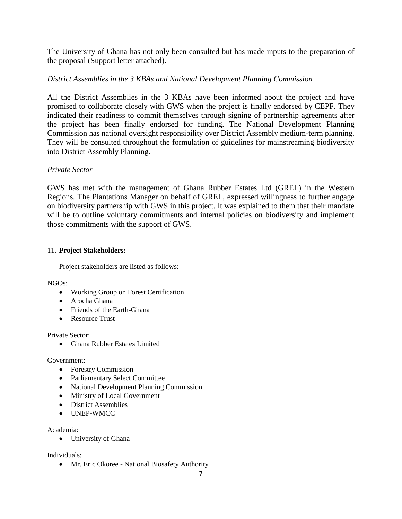The University of Ghana has not only been consulted but has made inputs to the preparation of the proposal (Support letter attached).

# *District Assemblies in the 3 KBAs and National Development Planning Commission*

All the District Assemblies in the 3 KBAs have been informed about the project and have promised to collaborate closely with GWS when the project is finally endorsed by CEPF. They indicated their readiness to commit themselves through signing of partnership agreements after the project has been finally endorsed for funding. The National Development Planning Commission has national oversight responsibility over District Assembly medium-term planning. They will be consulted throughout the formulation of guidelines for mainstreaming biodiversity into District Assembly Planning.

## *Private Sector*

GWS has met with the management of Ghana Rubber Estates Ltd (GREL) in the Western Regions. The Plantations Manager on behalf of GREL, expressed willingness to further engage on biodiversity partnership with GWS in this project. It was explained to them that their mandate will be to outline voluntary commitments and internal policies on biodiversity and implement those commitments with the support of GWS.

## 11. **Project Stakeholders:**

Project stakeholders are listed as follows:

NGOs:

- Working Group on Forest Certification
- Arocha Ghana
- Friends of the Earth-Ghana
- Resource Trust

Private Sector:

• Ghana Rubber Estates Limited

## Government:

- Forestry Commission
- Parliamentary Select Committee
- National Development Planning Commission
- Ministry of Local Government
- District Assemblies
- UNEP-WMCC

## Academia:

University of Ghana

Individuals:

• Mr. Eric Okoree - National Biosafety Authority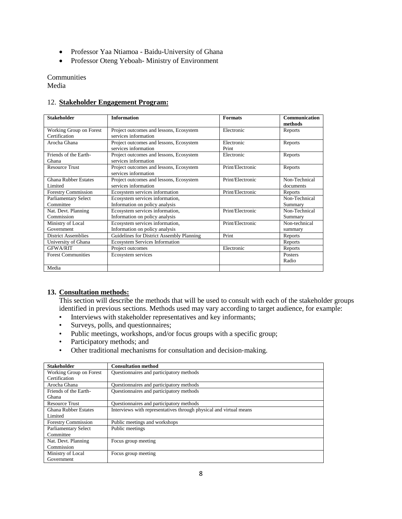- Professor Yaa Ntiamoa Baidu-University of Ghana
- Professor Oteng Yeboah- Ministry of Environment

Communities Media

#### 12. **Stakeholder Engagement Program:**

| <b>Stakeholder</b>                       | <b>Information</b>                                                | <b>Formats</b>      | Communication<br>methods   |
|------------------------------------------|-------------------------------------------------------------------|---------------------|----------------------------|
| Working Group on Forest<br>Certification | Project outcomes and lessons, Ecosystem<br>services information   | Electronic          | Reports                    |
| Arocha Ghana                             | Project outcomes and lessons, Ecosystem<br>services information   | Electronic<br>Print | Reports                    |
| Friends of the Earth-<br>Ghana           | Project outcomes and lessons, Ecosystem<br>services information   | Electronic          | Reports                    |
| <b>Resource Trust</b>                    | Project outcomes and lessons, Ecosystem<br>services information   | Print/Electronic    | Reports                    |
| <b>Ghana Rubber Estates</b><br>Limited   | Project outcomes and lessons, Ecosystem<br>services information   | Print/Electronic    | Non-Technical<br>documents |
| <b>Forestry Commission</b>               | Ecosystem services information                                    | Print/Electronic    | Reports                    |
| Parliamentary Select<br>Committee        | Ecosystem services information,<br>Information on policy analysis |                     | Non-Technical<br>Summary   |
| Nat. Devt. Planning<br>Commission        | Ecosystem services information,<br>Information on policy analysis | Print/Electronic    | Non-Technical<br>Summary   |
| Ministry of Local<br>Government          | Ecosystem services information,<br>Information on policy analysis | Print/Electronic    | Non-technical<br>summary   |
| <b>District Assemblies</b>               | Guidelines for District Assembly Planning                         | Print               | Reports                    |
| University of Ghana                      | <b>Ecosystem Services Information</b>                             |                     | Reports                    |
| <b>GFWA/RIT</b>                          | Project outcomes                                                  | Electronic          | Reports                    |
| <b>Forest Communities</b>                | Ecosystem services                                                |                     | Posters<br>Radio           |
| Media                                    |                                                                   |                     |                            |

#### **13. Consultation methods:**

This section will describe the methods that will be used to consult with each of the stakeholder groups identified in previous sections. Methods used may vary according to target audience, for example:

- Interviews with stakeholder representatives and key informants;
- Surveys, polls, and questionnaires;
- Public meetings, workshops, and/or focus groups with a specific group;
- Participatory methods; and
- Other traditional mechanisms for consultation and decision-making.

| <b>Stakeholder</b>          | <b>Consultation method</b>                                         |
|-----------------------------|--------------------------------------------------------------------|
| Working Group on Forest     | Questionnaires and participatory methods                           |
| Certification               |                                                                    |
| Arocha Ghana                | Questionnaires and participatory methods                           |
| Friends of the Earth-       | Questionnaires and participatory methods                           |
| Ghana                       |                                                                    |
| <b>Resource Trust</b>       | Questionnaires and participatory methods                           |
| <b>Ghana Rubber Estates</b> | Interviews with representatives through physical and virtual means |
| Limited                     |                                                                    |
| <b>Forestry Commission</b>  | Public meetings and workshops                                      |
| <b>Parliamentary Select</b> | Public meetings                                                    |
| Committee                   |                                                                    |
| Nat. Devt. Planning         | Focus group meeting                                                |
| Commission                  |                                                                    |
| Ministry of Local           | Focus group meeting                                                |
| Government                  |                                                                    |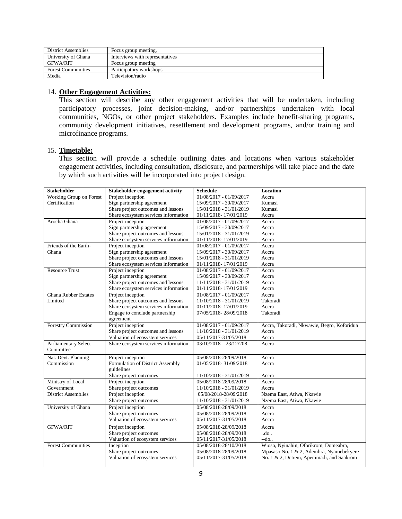| <b>District Assemblies</b> | Focus group meeting,            |
|----------------------------|---------------------------------|
| University of Ghana        | Interviews with representatives |
| <b>GFWA/RIT</b>            | Focus group meeting             |
| <b>Forest Communities</b>  | Participatory workshops         |
| Media                      | Television/radio                |

## 14. **Other Engagement Activities:**

This section will describe any other engagement activities that will be undertaken, including participatory processes, joint decision-making, and/or partnerships undertaken with local communities, NGOs, or other project stakeholders. Examples include benefit‐sharing programs, community development initiatives, resettlement and development programs, and/or training and microfinance programs.

#### 15. **Timetable:**

This section will provide a schedule outlining dates and locations when various stakeholder engagement activities, including consultation, disclosure, and partnerships will take place and the date by which such activities will be incorporated into project design.

| <b>Stakeholder</b>          | <b>Stakeholder engagement activity</b> | <b>Schedule</b>           | Location                                   |
|-----------------------------|----------------------------------------|---------------------------|--------------------------------------------|
| Working Group on Forest     | Project inception                      | 01/08/2017 - 01/09/2017   | Accra                                      |
| Certification               | Sign partnership agreement             | 15/09/2017 - 30/09/2017   | Kumasi                                     |
|                             | Share project outcomes and lessons     | 15/01/2018 - 31/01/2019   | Kumasi                                     |
|                             | Share ecosystem services information   | 01/11/2018-17/01/2019     | Accra                                      |
| Arocha Ghana                | Project inception                      | $01/08/2017 - 01/09/2017$ | Accra                                      |
|                             | Sign partnership agreement             | 15/09/2017 - 30/09/2017   | Accra                                      |
|                             | Share project outcomes and lessons     | 15/01/2018 - 31/01/2019   | Accra                                      |
|                             | Share ecosystem services information   | 01/11/2018-17/01/2019     | Accra                                      |
| Friends of the Earth-       | Project inception                      | 01/08/2017 - 01/09/2017   | Accra                                      |
| Ghana                       | Sign partnership agreement             | 15/09/2017 - 30/09/2017   | Accra                                      |
|                             | Share project outcomes and lessons     | 15/01/2018 - 31/01/2019   | Accra                                      |
|                             | Share ecosystem services information   | 01/11/2018-17/01/2019     | Accra                                      |
| <b>Resource Trust</b>       | Project inception                      | 01/08/2017 - 01/09/2017   | Accra                                      |
|                             | Sign partnership agreement             | 15/09/2017 - 30/09/2017   | Accra                                      |
|                             | Share project outcomes and lessons     | 11/11/2018 - 31/01/2019   | Accra                                      |
|                             | Share ecosystem services information   | 01/11/2018-17/01/2019     | Accra                                      |
| <b>Ghana Rubber Estates</b> | Project inception                      | 01/08/2017 - 01/09/2017   | Accra                                      |
| Limited                     | Share project outcomes and lessons     | 11/10/2018 - 31/01/2019   | Takoradi                                   |
|                             | Share ecosystem services information   | 01/11/2018-17/01/2019     | Accra                                      |
|                             | Engage to conclude partnership         | 07/05/2018-28/09/2018     | Takoradi                                   |
|                             | agreement                              |                           |                                            |
| Forestry Commission         | Project inception                      | 01/08/2017 - 01/09/2017   | Accra, Takoradi, Nkwawie, Begro, Koforidua |
|                             | Share project outcomes and lessons     | 11/10/2018 - 31/01/2019   | Accra                                      |
|                             | Valuation of ecosystem services        | 05/11/2017-31/05/2018     | Accra                                      |
| <b>Parliamentary Select</b> | Share ecosystem services information   | $03/10/2018 - 23/12/208$  | Accra                                      |
| Committee                   |                                        |                           |                                            |
| Nat. Devt. Planning         | Project inception                      | 05/08/2018-28/09/2018     | Accra                                      |
| Commission                  | Formulation of District Assembly       | 01/05/2018-31/09/2018     | Accra                                      |
|                             | guidelines                             |                           |                                            |
|                             | Share project outcomes                 | 11/10/2018 - 31/01/2019   | Accra                                      |
| Ministry of Local           | Project inception                      | 05/08/2018-28/09/2018     | Accra                                      |
| Government                  | Share project outcomes                 | 11/10/2018 - 31/01/2019   | Accra                                      |
| <b>District Assemblies</b>  | Project inception                      | 05/08/2018-28/09/2018     | Nzema East, Atiwa, Nkawie                  |
|                             | Share project outcomes                 | 11/10/2018 - 31/01/2019   | Nzema East, Atiwa, Nkawie                  |
| University of Ghana         | Project inception                      | 05/08/2018-28/09/2018     | Accra                                      |
|                             | Share project outcomes                 | 05/08/2018-28/09/2018     | Accra                                      |
|                             | Valuation of ecosystem services        | 05/11/2017-31/05/2018     | Accra                                      |
|                             |                                        |                           |                                            |
| <b>GFWA/RIT</b>             | Project inception                      | 05/08/2018-28/09/2018     | Accra                                      |
|                             | Share project outcomes                 | 05/08/2018-28/09/2018     | do                                         |
|                             | Valuation of ecosystem services        | 05/11/2017-31/05/2018     | --do                                       |
| <b>Forest Communities</b>   | Inception                              | 05/08/2018-28/10/2018     | Wioso, Nyinahin, Oforikrom, Domeabra,      |
|                             | Share project outcomes                 | 05/08/2018-28/09/2018     | Mpasaso No. 1 & 2, Adembra, Nyamebekyere   |
|                             | Valuation of ecosystem services        | 05/11/2017-31/05/2018     | No. 1 & 2, Dotiem, Apenimadi, and Saakrom  |
|                             |                                        |                           |                                            |